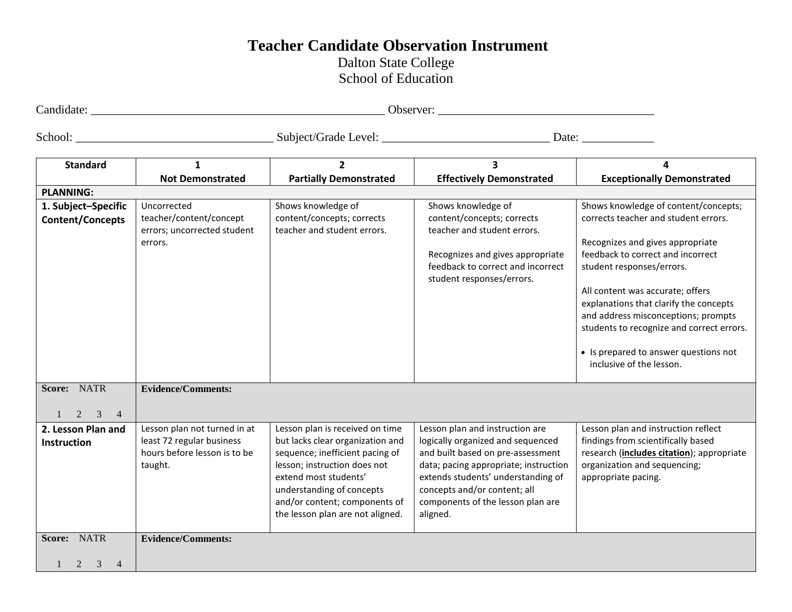## **Teacher Candidate Observation Instrument**

Dalton State College School of Education

| ~<br>Landidate | Jhserver: |
|----------------|-----------|

School: \_\_\_\_\_\_\_\_\_\_\_\_\_\_\_\_\_\_\_\_\_\_\_\_\_\_\_\_\_\_\_\_\_ Subject/Grade Level: \_\_\_\_\_\_\_\_\_\_\_\_\_\_\_\_\_\_\_\_\_\_\_\_\_\_\_\_ Date: \_\_\_\_\_\_\_\_\_\_\_\_

| <b>Standard</b>                          | 1                                                                                                    | $\overline{2}$                                                                                                                                                                                                                                                    | 3                                                                                                                                                                                                                                                                         | 4                                                                                                                                                                                                                                   |
|------------------------------------------|------------------------------------------------------------------------------------------------------|-------------------------------------------------------------------------------------------------------------------------------------------------------------------------------------------------------------------------------------------------------------------|---------------------------------------------------------------------------------------------------------------------------------------------------------------------------------------------------------------------------------------------------------------------------|-------------------------------------------------------------------------------------------------------------------------------------------------------------------------------------------------------------------------------------|
|                                          | <b>Not Demonstrated</b>                                                                              | <b>Partially Demonstrated</b>                                                                                                                                                                                                                                     | <b>Effectively Demonstrated</b>                                                                                                                                                                                                                                           | <b>Exceptionally Demonstrated</b>                                                                                                                                                                                                   |
| <b>PLANNING:</b>                         |                                                                                                      |                                                                                                                                                                                                                                                                   |                                                                                                                                                                                                                                                                           |                                                                                                                                                                                                                                     |
| 1. Subject-Specific                      | Uncorrected                                                                                          | Shows knowledge of                                                                                                                                                                                                                                                | Shows knowledge of                                                                                                                                                                                                                                                        | Shows knowledge of content/concepts;                                                                                                                                                                                                |
| <b>Content/Concepts</b>                  | teacher/content/concept<br>errors; uncorrected student<br>errors.                                    | content/concepts; corrects<br>teacher and student errors.                                                                                                                                                                                                         | content/concepts; corrects<br>teacher and student errors.                                                                                                                                                                                                                 | corrects teacher and student errors.<br>Recognizes and gives appropriate                                                                                                                                                            |
|                                          |                                                                                                      |                                                                                                                                                                                                                                                                   | Recognizes and gives appropriate<br>feedback to correct and incorrect<br>student responses/errors.                                                                                                                                                                        | feedback to correct and incorrect<br>student responses/errors.                                                                                                                                                                      |
|                                          |                                                                                                      |                                                                                                                                                                                                                                                                   |                                                                                                                                                                                                                                                                           | All content was accurate; offers<br>explanations that clarify the concepts<br>and address misconceptions; prompts<br>students to recognize and correct errors.<br>• Is prepared to answer questions not<br>inclusive of the lesson. |
| Score: NATR<br>3<br>2<br>$\overline{4}$  | <b>Evidence/Comments:</b>                                                                            |                                                                                                                                                                                                                                                                   |                                                                                                                                                                                                                                                                           |                                                                                                                                                                                                                                     |
| 2. Lesson Plan and<br><b>Instruction</b> | Lesson plan not turned in at<br>least 72 regular business<br>hours before lesson is to be<br>taught. | Lesson plan is received on time<br>but lacks clear organization and<br>sequence; inefficient pacing of<br>lesson; instruction does not<br>extend most students'<br>understanding of concepts<br>and/or content; components of<br>the lesson plan are not aligned. | Lesson plan and instruction are<br>logically organized and sequenced<br>and built based on pre-assessment<br>data; pacing appropriate; instruction<br>extends students' understanding of<br>concepts and/or content; all<br>components of the lesson plan are<br>aligned. | Lesson plan and instruction reflect<br>findings from scientifically based<br>research (includes citation); appropriate<br>organization and sequencing;<br>appropriate pacing.                                                       |
| Score: NATR<br>3<br>2<br>$\overline{4}$  | <b>Evidence/Comments:</b>                                                                            |                                                                                                                                                                                                                                                                   |                                                                                                                                                                                                                                                                           |                                                                                                                                                                                                                                     |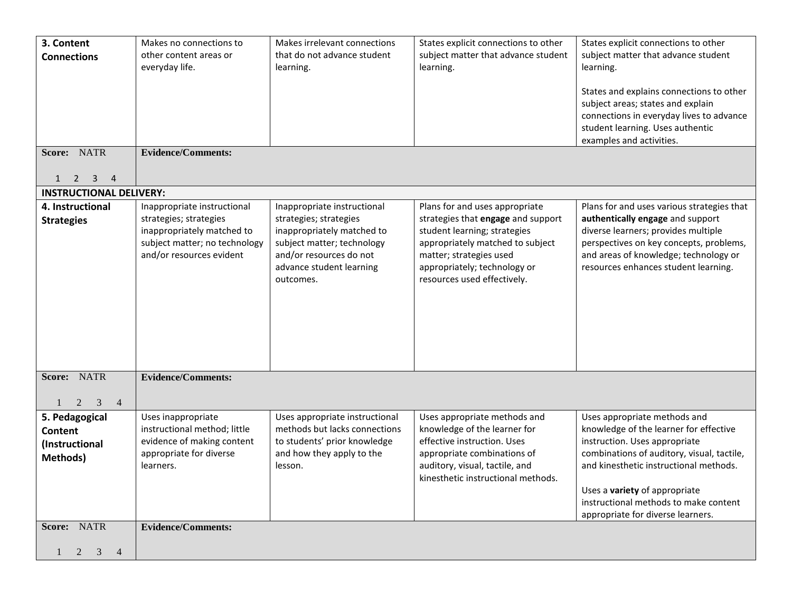| 3. Content                                                                  | Makes no connections to                              | Makes irrelevant connections                         | States explicit connections to other                                 | States explicit connections to other                                                 |
|-----------------------------------------------------------------------------|------------------------------------------------------|------------------------------------------------------|----------------------------------------------------------------------|--------------------------------------------------------------------------------------|
| <b>Connections</b>                                                          | other content areas or<br>everyday life.             | that do not advance student<br>learning.             | subject matter that advance student<br>learning.                     | subject matter that advance student<br>learning.                                     |
|                                                                             |                                                      |                                                      |                                                                      |                                                                                      |
|                                                                             |                                                      |                                                      |                                                                      | States and explains connections to other<br>subject areas; states and explain        |
|                                                                             |                                                      |                                                      |                                                                      | connections in everyday lives to advance                                             |
|                                                                             |                                                      |                                                      |                                                                      | student learning. Uses authentic                                                     |
| Score: NATR                                                                 | <b>Evidence/Comments:</b>                            |                                                      |                                                                      | examples and activities.                                                             |
|                                                                             |                                                      |                                                      |                                                                      |                                                                                      |
| $\overline{\mathbf{3}}$<br>$\overline{4}$<br>$\overline{2}$<br>$\mathbf{1}$ |                                                      |                                                      |                                                                      |                                                                                      |
| <b>INSTRUCTIONAL DELIVERY:</b>                                              |                                                      |                                                      |                                                                      |                                                                                      |
| 4. Instructional                                                            | Inappropriate instructional                          | Inappropriate instructional                          | Plans for and uses appropriate                                       | Plans for and uses various strategies that                                           |
| <b>Strategies</b>                                                           | strategies; strategies<br>inappropriately matched to | strategies; strategies<br>inappropriately matched to | strategies that engage and support<br>student learning; strategies   | authentically engage and support<br>diverse learners; provides multiple              |
|                                                                             | subject matter; no technology                        | subject matter; technology                           | appropriately matched to subject                                     | perspectives on key concepts, problems,                                              |
|                                                                             | and/or resources evident                             | and/or resources do not<br>advance student learning  | matter; strategies used<br>appropriately; technology or              | and areas of knowledge; technology or<br>resources enhances student learning.        |
|                                                                             |                                                      | outcomes.                                            | resources used effectively.                                          |                                                                                      |
|                                                                             |                                                      |                                                      |                                                                      |                                                                                      |
|                                                                             |                                                      |                                                      |                                                                      |                                                                                      |
|                                                                             |                                                      |                                                      |                                                                      |                                                                                      |
|                                                                             |                                                      |                                                      |                                                                      |                                                                                      |
|                                                                             |                                                      |                                                      |                                                                      |                                                                                      |
| Score: NATR                                                                 | <b>Evidence/Comments:</b>                            |                                                      |                                                                      |                                                                                      |
|                                                                             |                                                      |                                                      |                                                                      |                                                                                      |
| $\overline{2}$<br>3<br>$\overline{4}$                                       | Uses inappropriate                                   | Uses appropriate instructional                       | Uses appropriate methods and                                         | Uses appropriate methods and                                                         |
| 5. Pedagogical<br><b>Content</b>                                            | instructional method; little                         | methods but lacks connections                        | knowledge of the learner for                                         | knowledge of the learner for effective                                               |
| (Instructional                                                              | evidence of making content                           | to students' prior knowledge                         | effective instruction. Uses                                          | instruction. Uses appropriate                                                        |
| <b>Methods)</b>                                                             | appropriate for diverse                              | and how they apply to the                            | appropriate combinations of                                          | combinations of auditory, visual, tactile,<br>and kinesthetic instructional methods. |
|                                                                             | learners.                                            | lesson.                                              | auditory, visual, tactile, and<br>kinesthetic instructional methods. |                                                                                      |
|                                                                             |                                                      |                                                      |                                                                      | Uses a variety of appropriate                                                        |
|                                                                             |                                                      |                                                      |                                                                      | instructional methods to make content<br>appropriate for diverse learners.           |
| Score: NATR                                                                 | <b>Evidence/Comments:</b>                            |                                                      |                                                                      |                                                                                      |
|                                                                             |                                                      |                                                      |                                                                      |                                                                                      |
| $2 \quad 3$<br>$\overline{4}$                                               |                                                      |                                                      |                                                                      |                                                                                      |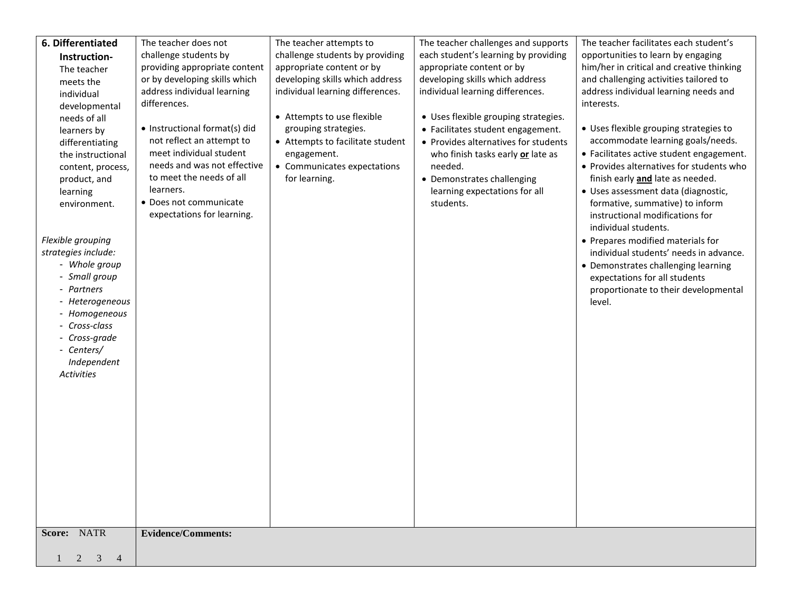| 6. Differentiated             | The teacher does not                                    | The teacher attempts to          | The teacher challenges and supports        | The teacher facilitates each student's                                 |
|-------------------------------|---------------------------------------------------------|----------------------------------|--------------------------------------------|------------------------------------------------------------------------|
| Instruction-                  | challenge students by                                   | challenge students by providing  | each student's learning by providing       | opportunities to learn by engaging                                     |
| The teacher                   | providing appropriate content                           | appropriate content or by        | appropriate content or by                  | him/her in critical and creative thinking                              |
| meets the                     | or by developing skills which                           | developing skills which address  | developing skills which address            | and challenging activities tailored to                                 |
| individual                    | address individual learning                             | individual learning differences. | individual learning differences.           | address individual learning needs and                                  |
| developmental                 | differences.                                            |                                  |                                            | interests.                                                             |
| needs of all                  |                                                         | • Attempts to use flexible       | • Uses flexible grouping strategies.       |                                                                        |
| learners by                   | • Instructional format(s) did                           | grouping strategies.             | • Facilitates student engagement.          | • Uses flexible grouping strategies to                                 |
| differentiating               | not reflect an attempt to                               | • Attempts to facilitate student | • Provides alternatives for students       | accommodate learning goals/needs.                                      |
| the instructional             | meet individual student                                 | engagement.                      | who finish tasks early or late as          | • Facilitates active student engagement.                               |
| content, process,             | needs and was not effective<br>to meet the needs of all | • Communicates expectations      | needed.                                    | • Provides alternatives for students who                               |
| product, and                  | learners.                                               | for learning.                    | • Demonstrates challenging                 | finish early and late as needed.                                       |
| learning<br>environment.      | • Does not communicate                                  |                                  | learning expectations for all<br>students. | · Uses assessment data (diagnostic,<br>formative, summative) to inform |
|                               | expectations for learning.                              |                                  |                                            | instructional modifications for                                        |
|                               |                                                         |                                  |                                            | individual students.                                                   |
| Flexible grouping             |                                                         |                                  |                                            | • Prepares modified materials for                                      |
| strategies include:           |                                                         |                                  |                                            | individual students' needs in advance.                                 |
| - Whole group                 |                                                         |                                  |                                            | • Demonstrates challenging learning                                    |
| - Small group                 |                                                         |                                  |                                            | expectations for all students                                          |
| - Partners                    |                                                         |                                  |                                            | proportionate to their developmental                                   |
| - Heterogeneous               |                                                         |                                  |                                            | level.                                                                 |
| - Homogeneous                 |                                                         |                                  |                                            |                                                                        |
| - Cross-class                 |                                                         |                                  |                                            |                                                                        |
| - Cross-grade                 |                                                         |                                  |                                            |                                                                        |
| - Centers/                    |                                                         |                                  |                                            |                                                                        |
| Independent                   |                                                         |                                  |                                            |                                                                        |
| Activities                    |                                                         |                                  |                                            |                                                                        |
|                               |                                                         |                                  |                                            |                                                                        |
|                               |                                                         |                                  |                                            |                                                                        |
|                               |                                                         |                                  |                                            |                                                                        |
|                               |                                                         |                                  |                                            |                                                                        |
|                               |                                                         |                                  |                                            |                                                                        |
|                               |                                                         |                                  |                                            |                                                                        |
|                               |                                                         |                                  |                                            |                                                                        |
|                               |                                                         |                                  |                                            |                                                                        |
|                               |                                                         |                                  |                                            |                                                                        |
|                               |                                                         |                                  |                                            |                                                                        |
| Score: NATR                   | <b>Evidence/Comments:</b>                               |                                  |                                            |                                                                        |
| $2 \quad 3$<br>$\overline{4}$ |                                                         |                                  |                                            |                                                                        |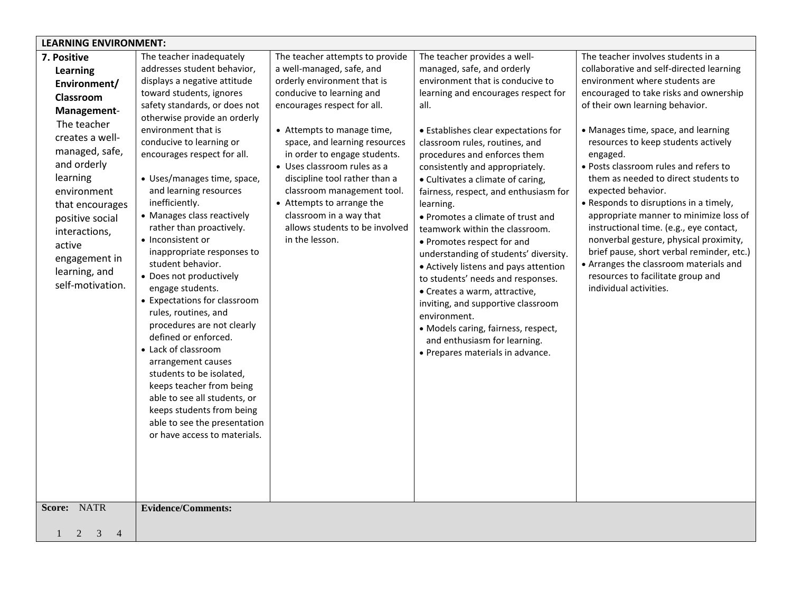| <b>LEARNING ENVIRONMENT:</b>                                                                                                                                                                                                                                                             |                                                                                                                                                                                                                                                                                                                                                                                                                                                                                                                                                                                                                                                                                                                                                                                                                                                                                    |                                                                                                                                                                                                                                                                                                                                                                                                                                                                  |                                                                                                                                                                                                                                                                                                                                                                                                                                                                                                                                                                                                                                                                                                                                                                                                                     |                                                                                                                                                                                                                                                                                                                                                                                                                                                                                                                                                                                                                                                                                                                               |  |  |
|------------------------------------------------------------------------------------------------------------------------------------------------------------------------------------------------------------------------------------------------------------------------------------------|------------------------------------------------------------------------------------------------------------------------------------------------------------------------------------------------------------------------------------------------------------------------------------------------------------------------------------------------------------------------------------------------------------------------------------------------------------------------------------------------------------------------------------------------------------------------------------------------------------------------------------------------------------------------------------------------------------------------------------------------------------------------------------------------------------------------------------------------------------------------------------|------------------------------------------------------------------------------------------------------------------------------------------------------------------------------------------------------------------------------------------------------------------------------------------------------------------------------------------------------------------------------------------------------------------------------------------------------------------|---------------------------------------------------------------------------------------------------------------------------------------------------------------------------------------------------------------------------------------------------------------------------------------------------------------------------------------------------------------------------------------------------------------------------------------------------------------------------------------------------------------------------------------------------------------------------------------------------------------------------------------------------------------------------------------------------------------------------------------------------------------------------------------------------------------------|-------------------------------------------------------------------------------------------------------------------------------------------------------------------------------------------------------------------------------------------------------------------------------------------------------------------------------------------------------------------------------------------------------------------------------------------------------------------------------------------------------------------------------------------------------------------------------------------------------------------------------------------------------------------------------------------------------------------------------|--|--|
| 7. Positive<br>Learning<br>Environment/<br>Classroom<br>Management-<br>The teacher<br>creates a well-<br>managed, safe,<br>and orderly<br>learning<br>environment<br>that encourages<br>positive social<br>interactions,<br>active<br>engagement in<br>learning, and<br>self-motivation. | The teacher inadequately<br>addresses student behavior,<br>displays a negative attitude<br>toward students, ignores<br>safety standards, or does not<br>otherwise provide an orderly<br>environment that is<br>conducive to learning or<br>encourages respect for all.<br>• Uses/manages time, space,<br>and learning resources<br>inefficiently.<br>• Manages class reactively<br>rather than proactively.<br>• Inconsistent or<br>inappropriate responses to<br>student behavior.<br>• Does not productively<br>engage students.<br>• Expectations for classroom<br>rules, routines, and<br>procedures are not clearly<br>defined or enforced.<br>• Lack of classroom<br>arrangement causes<br>students to be isolated,<br>keeps teacher from being<br>able to see all students, or<br>keeps students from being<br>able to see the presentation<br>or have access to materials. | The teacher attempts to provide<br>a well-managed, safe, and<br>orderly environment that is<br>conducive to learning and<br>encourages respect for all.<br>• Attempts to manage time,<br>space, and learning resources<br>in order to engage students.<br>• Uses classroom rules as a<br>discipline tool rather than a<br>classroom management tool.<br>• Attempts to arrange the<br>classroom in a way that<br>allows students to be involved<br>in the lesson. | The teacher provides a well-<br>managed, safe, and orderly<br>environment that is conducive to<br>learning and encourages respect for<br>all.<br>• Establishes clear expectations for<br>classroom rules, routines, and<br>procedures and enforces them<br>consistently and appropriately.<br>• Cultivates a climate of caring,<br>fairness, respect, and enthusiasm for<br>learning.<br>• Promotes a climate of trust and<br>teamwork within the classroom.<br>• Promotes respect for and<br>understanding of students' diversity.<br>• Actively listens and pays attention<br>to students' needs and responses.<br>• Creates a warm, attractive,<br>inviting, and supportive classroom<br>environment.<br>• Models caring, fairness, respect,<br>and enthusiasm for learning.<br>• Prepares materials in advance. | The teacher involves students in a<br>collaborative and self-directed learning<br>environment where students are<br>encouraged to take risks and ownership<br>of their own learning behavior.<br>• Manages time, space, and learning<br>resources to keep students actively<br>engaged.<br>· Posts classroom rules and refers to<br>them as needed to direct students to<br>expected behavior.<br>• Responds to disruptions in a timely,<br>appropriate manner to minimize loss of<br>instructional time. (e.g., eye contact,<br>nonverbal gesture, physical proximity,<br>brief pause, short verbal reminder, etc.)<br>• Arranges the classroom materials and<br>resources to facilitate group and<br>individual activities. |  |  |
| <b>NATR</b><br>Score:                                                                                                                                                                                                                                                                    | <b>Evidence/Comments:</b>                                                                                                                                                                                                                                                                                                                                                                                                                                                                                                                                                                                                                                                                                                                                                                                                                                                          |                                                                                                                                                                                                                                                                                                                                                                                                                                                                  |                                                                                                                                                                                                                                                                                                                                                                                                                                                                                                                                                                                                                                                                                                                                                                                                                     |                                                                                                                                                                                                                                                                                                                                                                                                                                                                                                                                                                                                                                                                                                                               |  |  |
| 2<br>3<br>$\overline{4}$                                                                                                                                                                                                                                                                 |                                                                                                                                                                                                                                                                                                                                                                                                                                                                                                                                                                                                                                                                                                                                                                                                                                                                                    |                                                                                                                                                                                                                                                                                                                                                                                                                                                                  |                                                                                                                                                                                                                                                                                                                                                                                                                                                                                                                                                                                                                                                                                                                                                                                                                     |                                                                                                                                                                                                                                                                                                                                                                                                                                                                                                                                                                                                                                                                                                                               |  |  |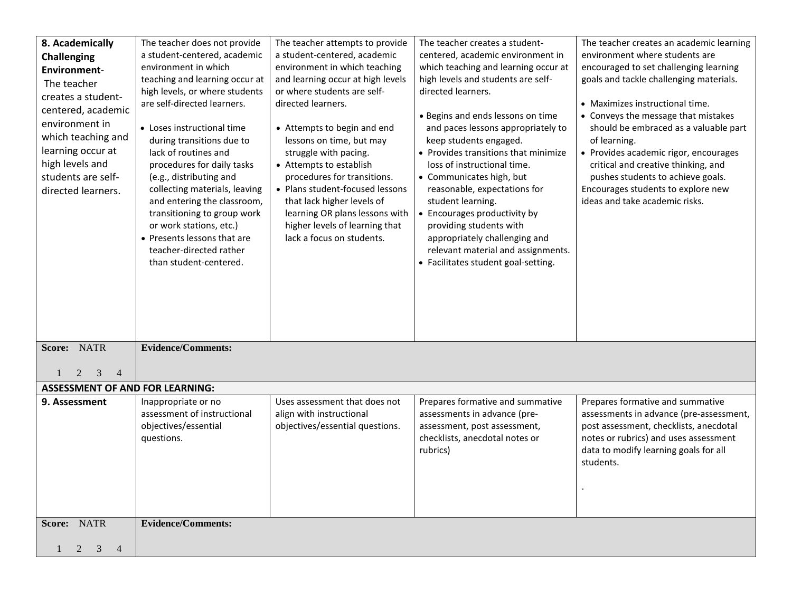| 8. Academically                                       | The teacher does not provide                                  | The teacher attempts to provide                                  | The teacher creates a student-                           | The teacher creates an academic learning |
|-------------------------------------------------------|---------------------------------------------------------------|------------------------------------------------------------------|----------------------------------------------------------|------------------------------------------|
| <b>Challenging</b>                                    | a student-centered, academic                                  | a student-centered, academic                                     | centered, academic environment in                        | environment where students are           |
| <b>Environment-</b>                                   | environment in which                                          | environment in which teaching                                    | which teaching and learning occur at                     | encouraged to set challenging learning   |
| The teacher                                           | teaching and learning occur at                                | and learning occur at high levels<br>or where students are self- | high levels and students are self-<br>directed learners. | goals and tackle challenging materials.  |
| creates a student-                                    | high levels, or where students<br>are self-directed learners. | directed learners.                                               |                                                          | • Maximizes instructional time.          |
| centered, academic                                    |                                                               |                                                                  | • Begins and ends lessons on time                        | • Conveys the message that mistakes      |
| environment in                                        | • Loses instructional time                                    | • Attempts to begin and end                                      | and paces lessons appropriately to                       | should be embraced as a valuable part    |
| which teaching and                                    | during transitions due to                                     | lessons on time, but may                                         | keep students engaged.                                   | of learning.                             |
| learning occur at                                     | lack of routines and                                          | struggle with pacing.                                            | • Provides transitions that minimize                     | • Provides academic rigor, encourages    |
| high levels and                                       | procedures for daily tasks                                    | • Attempts to establish                                          | loss of instructional time.                              | critical and creative thinking, and      |
| students are self-                                    | (e.g., distributing and                                       | procedures for transitions.                                      | • Communicates high, but                                 | pushes students to achieve goals.        |
| directed learners.                                    | collecting materials, leaving                                 | • Plans student-focused lessons                                  | reasonable, expectations for                             | Encourages students to explore new       |
|                                                       | and entering the classroom,<br>transitioning to group work    | that lack higher levels of<br>learning OR plans lessons with     | student learning.<br>Encourages productivity by          | ideas and take academic risks.           |
|                                                       | or work stations, etc.)                                       | higher levels of learning that                                   | providing students with                                  |                                          |
|                                                       | • Presents lessons that are                                   | lack a focus on students.                                        | appropriately challenging and                            |                                          |
|                                                       | teacher-directed rather                                       |                                                                  | relevant material and assignments.                       |                                          |
|                                                       | than student-centered.                                        |                                                                  | • Facilitates student goal-setting.                      |                                          |
|                                                       |                                                               |                                                                  |                                                          |                                          |
|                                                       |                                                               |                                                                  |                                                          |                                          |
|                                                       |                                                               |                                                                  |                                                          |                                          |
|                                                       |                                                               |                                                                  |                                                          |                                          |
|                                                       |                                                               |                                                                  |                                                          |                                          |
| <b>NATR</b><br>Score:                                 | <b>Evidence/Comments:</b>                                     |                                                                  |                                                          |                                          |
|                                                       |                                                               |                                                                  |                                                          |                                          |
| 2<br>3<br>4<br><b>ASSESSMENT OF AND FOR LEARNING:</b> |                                                               |                                                                  |                                                          |                                          |
| 9. Assessment                                         | Inappropriate or no                                           | Uses assessment that does not                                    | Prepares formative and summative                         | Prepares formative and summative         |
|                                                       | assessment of instructional                                   | align with instructional                                         | assessments in advance (pre-                             | assessments in advance (pre-assessment,  |
|                                                       | objectives/essential                                          | objectives/essential questions.                                  | assessment, post assessment,                             | post assessment, checklists, anecdotal   |
|                                                       | questions.                                                    |                                                                  | checklists, anecdotal notes or                           | notes or rubrics) and uses assessment    |
|                                                       |                                                               |                                                                  | rubrics)                                                 | data to modify learning goals for all    |
|                                                       |                                                               |                                                                  |                                                          | students.                                |
|                                                       |                                                               |                                                                  |                                                          |                                          |
|                                                       |                                                               |                                                                  |                                                          |                                          |
|                                                       |                                                               |                                                                  |                                                          |                                          |
| Score: NATR                                           | <b>Evidence/Comments:</b>                                     |                                                                  |                                                          |                                          |
|                                                       |                                                               |                                                                  |                                                          |                                          |
| $1 \t2 \t3 \t4$                                       |                                                               |                                                                  |                                                          |                                          |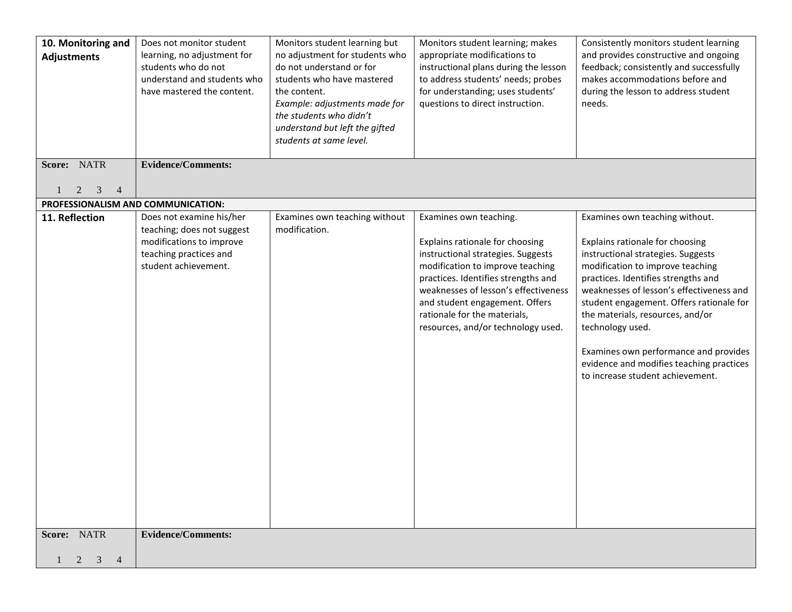| 10. Monitoring and<br><b>Adjustments</b> | Does not monitor student<br>learning, no adjustment for<br>students who do not<br>understand and students who<br>have mastered the content. | Monitors student learning but<br>no adjustment for students who<br>do not understand or for<br>students who have mastered<br>the content.<br>Example: adjustments made for<br>the students who didn't<br>understand but left the gifted<br>students at same level. | Monitors student learning; makes<br>appropriate modifications to<br>instructional plans during the lesson<br>to address students' needs; probes<br>for understanding; uses students'<br>questions to direct instruction.                                                                                                   | Consistently monitors student learning<br>and provides constructive and ongoing<br>feedback; consistently and successfully<br>makes accommodations before and<br>during the lesson to address student<br>needs.                                                                                                                                                                                                                                             |
|------------------------------------------|---------------------------------------------------------------------------------------------------------------------------------------------|--------------------------------------------------------------------------------------------------------------------------------------------------------------------------------------------------------------------------------------------------------------------|----------------------------------------------------------------------------------------------------------------------------------------------------------------------------------------------------------------------------------------------------------------------------------------------------------------------------|-------------------------------------------------------------------------------------------------------------------------------------------------------------------------------------------------------------------------------------------------------------------------------------------------------------------------------------------------------------------------------------------------------------------------------------------------------------|
| Score: NATR<br>2<br>3                    | <b>Evidence/Comments:</b>                                                                                                                   |                                                                                                                                                                                                                                                                    |                                                                                                                                                                                                                                                                                                                            |                                                                                                                                                                                                                                                                                                                                                                                                                                                             |
| PROFESSIONALISM AND COMMUNICATION:       |                                                                                                                                             |                                                                                                                                                                                                                                                                    |                                                                                                                                                                                                                                                                                                                            |                                                                                                                                                                                                                                                                                                                                                                                                                                                             |
| 11. Reflection                           | Does not examine his/her<br>teaching; does not suggest<br>modifications to improve<br>teaching practices and<br>student achievement.        | Examines own teaching without<br>modification.                                                                                                                                                                                                                     | Examines own teaching.<br>Explains rationale for choosing<br>instructional strategies. Suggests<br>modification to improve teaching<br>practices. Identifies strengths and<br>weaknesses of lesson's effectiveness<br>and student engagement. Offers<br>rationale for the materials,<br>resources, and/or technology used. | Examines own teaching without.<br>Explains rationale for choosing<br>instructional strategies. Suggests<br>modification to improve teaching<br>practices. Identifies strengths and<br>weaknesses of lesson's effectiveness and<br>student engagement. Offers rationale for<br>the materials, resources, and/or<br>technology used.<br>Examines own performance and provides<br>evidence and modifies teaching practices<br>to increase student achievement. |
| Score: NATR                              | <b>Evidence/Comments:</b>                                                                                                                   |                                                                                                                                                                                                                                                                    |                                                                                                                                                                                                                                                                                                                            |                                                                                                                                                                                                                                                                                                                                                                                                                                                             |
| $2 \overline{3}$<br>$\overline{4}$       |                                                                                                                                             |                                                                                                                                                                                                                                                                    |                                                                                                                                                                                                                                                                                                                            |                                                                                                                                                                                                                                                                                                                                                                                                                                                             |